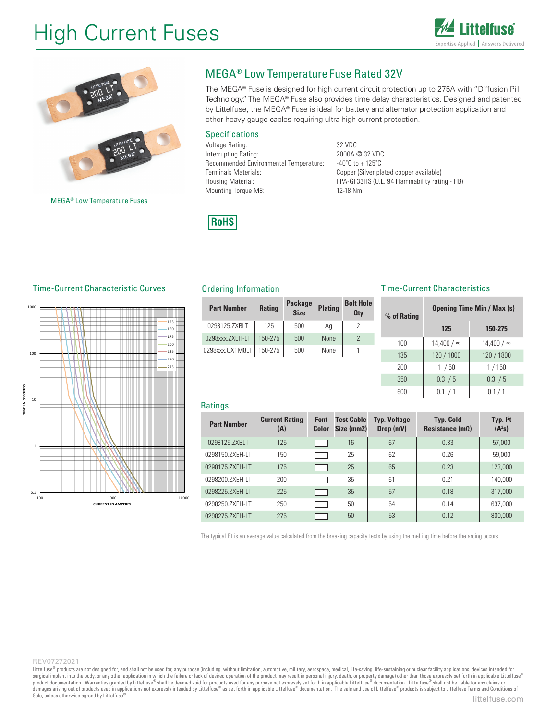# High Current Fuses





### MEGA® Low Temperature Fuse Rated 32V

The MEGA® Fuse is designed for high current circuit protection up to 275A with "Diffusion Pill Technology." The MEGA® Fuse also provides time delay characteristics. Designed and patented by Littelfuse, the MEGA® Fuse is ideal for battery and alternator protection application and other heavy gauge cables requiring ultra-high current protection.

#### Specifications

Voltage Rating: 32 VDC Interrupting Rating: 2000A @ 32 VDC Recommended Environmental Temperature: -40°C to +125°C Terminals Materials: Copper (Silver plated copper available) Mounting Torque M8: 12-18 Nm

Housing Material: The PPA-GF33HS (U.L. 94 Flammability rating - HB)



### Time-Current Characteristic Curves Ordering Information

MEGA® Low Temperature Fuses



| <b>Part Number</b> | <b>Rating</b> |     | <b>Plating</b> | <b>Bolt Hole</b><br><b>Qtv</b> | % |
|--------------------|---------------|-----|----------------|--------------------------------|---|
| 0298125.ZXBLT      | 125           | 500 | Ag             |                                |   |
| 0298xxx.ZXEH-LT    | $150 - 275$   | 500 | <b>None</b>    |                                |   |
| 0298xxx.UX1M8LT    | 150-275       | 500 | None           |                                |   |

#### Time-Current Characteristics

| olt Hole<br><b>Qty</b> | % of Rating | <b>Opening Time Min / Max (s)</b> |            |  |  |  |
|------------------------|-------------|-----------------------------------|------------|--|--|--|
| $\overline{2}$         |             | 125                               | 150-275    |  |  |  |
| $\overline{2}$         | 100         | 14,400 / ∞                        | 14,400 / ∞ |  |  |  |
| 1                      | 135         | 120 / 1800                        | 120 / 1800 |  |  |  |
|                        | 200         | 1/50                              | 1/150      |  |  |  |
|                        | 350         | 0.3 / 5                           | 0.3 / 5    |  |  |  |
|                        | 600         | 0.1 / 1                           | 0.1/1      |  |  |  |

#### **Ratings**

| <b>Part Number</b> | <b>Current Rating</b><br>(A) | <b>Font</b><br>Color | <b>Test Cable</b><br>Size (mm2) | <b>Typ. Voltage</b><br>Drop (mV) | <b>Typ. Cold</b><br>Resistance $(m\Omega)$ | Typ. $l^2t$<br>$(A^2s)$ |
|--------------------|------------------------------|----------------------|---------------------------------|----------------------------------|--------------------------------------------|-------------------------|
| 0298125.ZXBLT      | 125                          |                      | 16                              | 67                               | 0.33                                       | 57,000                  |
| 0298150.ZXEH-LT    | 150                          |                      | 25                              | 62                               | 0.26                                       | 59,000                  |
| 0298175.ZXEH-LT    | 175                          |                      | 25                              | 65                               | 0.23                                       | 123,000                 |
| 0298200.ZXEH-LT    | 200                          |                      | 35                              | 61                               | 0.21                                       | 140,000                 |
| 0298225.ZXEH-LT    | 225                          |                      | 35                              | 57                               | 0.18                                       | 317,000                 |
| 0298250.ZXEH-LT    | 250                          |                      | 50                              | 54                               | 0.14                                       | 637.000                 |
| 0298275.ZXEH-LT    | 275                          |                      | 50                              | 53                               | 0.12                                       | 800,000                 |

The typical I<sup>2</sup>t is an average value calculated from the breaking capacity tests by using the melting time before the arcing occurs.

#### REV07272021

Littelfuse® products are not designed for, and shall not be used for, any purpose (including, without limitation, automotive, military, aerospace, medical, life-saving, life-sustaining or nuclear facility applications, dev surgical implant into the body, or any other application in which the failure or lack of desired operation of the product may result in personal injury, death, or property damage) other than those expressly set forth in ap Sale, unless otherwise agreed by Littelfuse®. Sale, unless otherwise agreed by Littelfuse® surgical implant into the body, or any other application in which the failure or lack of desired operation of the product may result in personal injury, death, or property damage) other than those expressly set forth in ap